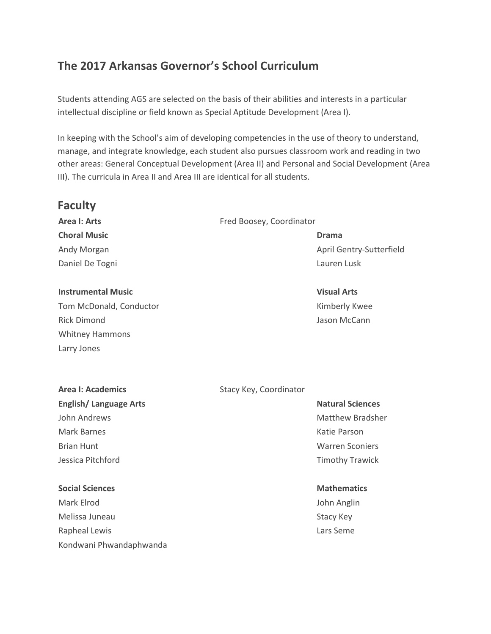# **The 2017 Arkansas Governor's School Curriculum**

Students attending AGS are selected on the basis of their abilities and interests in a particular intellectual discipline or field known as Special Aptitude Development (Area I).

In keeping with the School's aim of developing competencies in the use of theory to understand, manage, and integrate knowledge, each student also pursues classroom work and reading in two other areas: General Conceptual Development (Area II) and Personal and Social Development (Area III). The curricula in Area II and Area III are identical for all students.

# **Faculty**

**Choral Music Drama** Daniel De Togni **Lauren Lusk** Lauren Lusk

#### **Instrumental Music Visual Arts**

Tom McDonald, Conductor The Constantine Conductor Constanting Management Constanting Management Constanting Ma Rick Dimond Jason McCann Whitney Hammons Larry Jones

#### **Area I: Arts** Fred Boosey, Coordinator

Andy Morgan April Gentry-Sutterfield

# **English/Language Arts Natural Sciences Natural Sciences**

Mark Barnes Katie Parson (Katie Parson Katie Parson Katie Parson Katie Parson Katie Parson Katie Parson Katie Parson (Katie Parson Katie Parson Katie Parson Katie Parson Katie Parson Katie Parson Katie Parson (Katie Parson

## **Social Sciences Mathematics Mathematics Mathematics**

Mark Elrod John Anglin Melissa Juneau National Stacy Key Rapheal Lewis **Lars Seme Lars Seme Lars Seme** Kondwani Phwandaphwanda

## **Area I: Academics** Stacy Key, Coordinator

John Andrews **Matthew Bradsher** Matthew Bradsher Brian Hunt Warren Sconiers Jessica Pitchford Timothy Trawick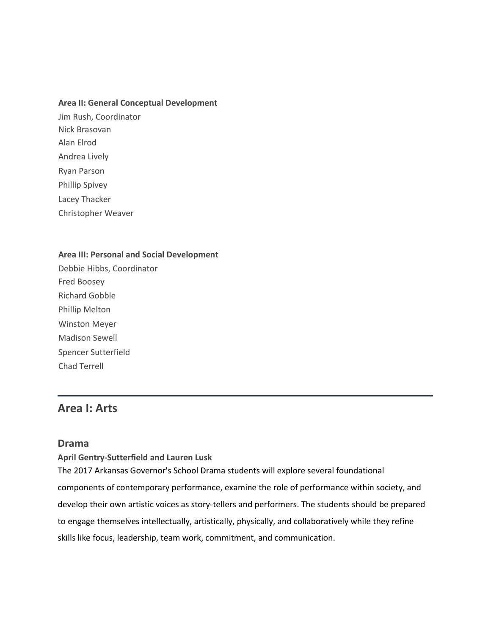#### **Area II: General Conceptual Development**

Jim Rush, Coordinator Nick Brasovan Alan Elrod Andrea Lively Ryan Parson Phillip Spivey Lacey Thacker Christopher Weaver

#### **Area III: Personal and Social Development**

Debbie Hibbs, Coordinator Fred Boosey Richard Gobble Phillip Melton Winston Meyer Madison Sewell Spencer Sutterfield Chad Terrell

# **Area I: Arts**

#### **Drama**

**April Gentry-Sutterfield and Lauren Lusk**

The 2017 Arkansas Governor's School Drama students will explore several foundational components of contemporary performance, examine the role of performance within society, and develop their own artistic voices as story-tellers and performers. The students should be prepared to engage themselves intellectually, artistically, physically, and collaboratively while they refine skills like focus, leadership, team work, commitment, and communication.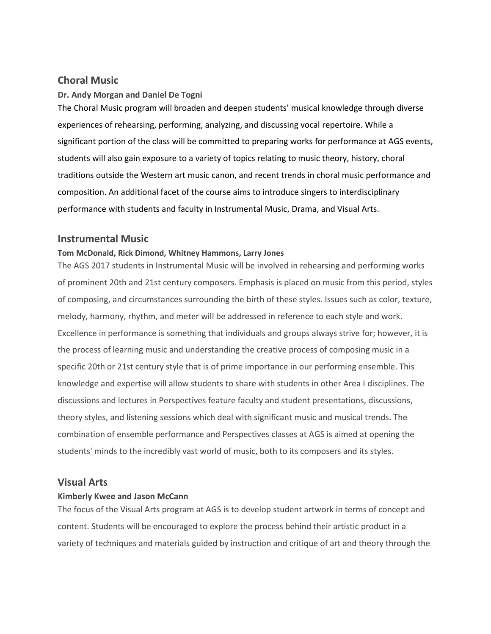## **Choral Music**

#### **Dr. Andy Morgan and Daniel De Togni**

The Choral Music program will broaden and deepen students' musical knowledge through diverse experiences of rehearsing, performing, analyzing, and discussing vocal repertoire. While a significant portion of the class will be committed to preparing works for performance at AGS events, students will also gain exposure to a variety of topics relating to music theory, history, choral traditions outside the Western art music canon, and recent trends in choral music performance and composition. An additional facet of the course aims to introduce singers to interdisciplinary performance with students and faculty in Instrumental Music, Drama, and Visual Arts.

#### **Instrumental Music**

#### **Tom McDonald, Rick Dimond, Whitney Hammons, Larry Jones**

The AGS 2017 students in Instrumental Music will be involved in rehearsing and performing works of prominent 20th and 21st century composers. Emphasis is placed on music from this period, styles of composing, and circumstances surrounding the birth of these styles. Issues such as color, texture, melody, harmony, rhythm, and meter will be addressed in reference to each style and work. Excellence in performance is something that individuals and groups always strive for; however, it is the process of learning music and understanding the creative process of composing music in a specific 20th or 21st century style that is of prime importance in our performing ensemble. This knowledge and expertise will allow students to share with students in other Area I disciplines. The discussions and lectures in Perspectives feature faculty and student presentations, discussions, theory styles, and listening sessions which deal with significant music and musical trends. The combination of ensemble performance and Perspectives classes at AGS is aimed at opening the students' minds to the incredibly vast world of music, both to its composers and its styles.

#### **Visual Arts**

#### **Kimberly Kwee and Jason McCann**

The focus of the Visual Arts program at AGS is to develop student artwork in terms of concept and content. Students will be encouraged to explore the process behind their artistic product in a variety of techniques and materials guided by instruction and critique of art and theory through the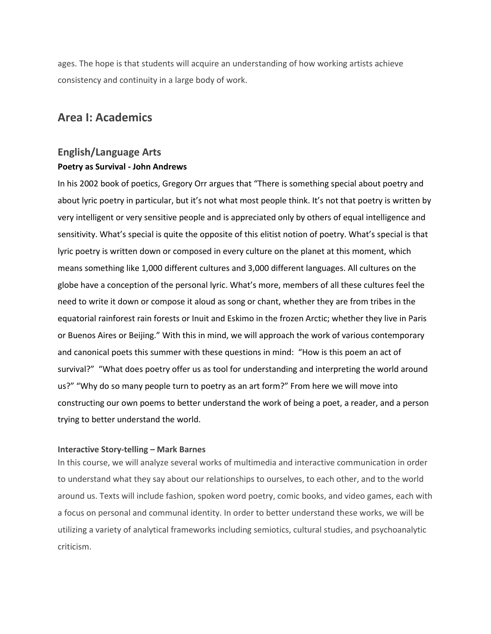ages. The hope is that students will acquire an understanding of how working artists achieve consistency and continuity in a large body of work.

# **Area I: Academics**

# **English/Language Arts Poetry as Survival - John Andrews**

In his 2002 book of poetics, Gregory Orr argues that "There is something special about poetry and about lyric poetry in particular, but it's not what most people think. It's not that poetry is written by very intelligent or very sensitive people and is appreciated only by others of equal intelligence and sensitivity. What's special is quite the opposite of this elitist notion of poetry. What's special is that lyric poetry is written down or composed in every culture on the planet at this moment, which means something like 1,000 different cultures and 3,000 different languages. All cultures on the globe have a conception of the personal lyric. What's more, members of all these cultures feel the need to write it down or compose it aloud as song or chant, whether they are from tribes in the equatorial rainforest rain forests or Inuit and Eskimo in the frozen Arctic; whether they live in Paris or Buenos Aires or Beijing." With this in mind, we will approach the work of various contemporary and canonical poets this summer with these questions in mind: "How is this poem an act of survival?" "What does poetry offer us as tool for understanding and interpreting the world around us?" "Why do so many people turn to poetry as an art form?" From here we will move into constructing our own poems to better understand the work of being a poet, a reader, and a person trying to better understand the world.

#### **Interactive Story-telling – Mark Barnes**

In this course, we will analyze several works of multimedia and interactive communication in order to understand what they say about our relationships to ourselves, to each other, and to the world around us. Texts will include fashion, spoken word poetry, comic books, and video games, each with a focus on personal and communal identity. In order to better understand these works, we will be utilizing a variety of analytical frameworks including semiotics, cultural studies, and psychoanalytic criticism.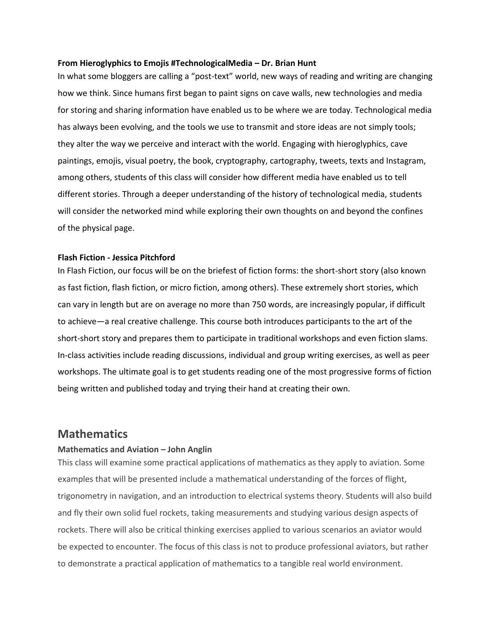#### **From Hieroglyphics to Emojis #TechnologicalMedia – Dr. Brian Hunt**

In what some bloggers are calling a "post-text" world, new ways of reading and writing are changing how we think. Since humans first began to paint signs on cave walls, new technologies and media for storing and sharing information have enabled us to be where we are today. Technological media has always been evolving, and the tools we use to transmit and store ideas are not simply tools; they alter the way we perceive and interact with the world. Engaging with hieroglyphics, cave paintings, emojis, visual poetry, the book, cryptography, cartography, tweets, texts and Instagram, among others, students of this class will consider how different media have enabled us to tell different stories. Through a deeper understanding of the history of technological media, students will consider the networked mind while exploring their own thoughts on and beyond the confines of the physical page.

#### **Flash Fiction - Jessica Pitchford**

In Flash Fiction, our focus will be on the briefest of fiction forms: the short-short story (also known as fast fiction, flash fiction, or micro fiction, among others). These extremely short stories, which can vary in length but are on average no more than 750 words, are increasingly popular, if difficult to achieve—a real creative challenge. This course both introduces participants to the art of the short-short story and prepares them to participate in traditional workshops and even fiction slams. In-class activities include reading discussions, individual and group writing exercises, as well as peer workshops. The ultimate goal is to get students reading one of the most progressive forms of fiction being written and published today and trying their hand at creating their own.

## **Mathematics**

#### **Mathematics and Aviation – John Anglin**

This class will examine some practical applications of mathematics as they apply to aviation. Some examples that will be presented include a mathematical understanding of the forces of flight, trigonometry in navigation, and an introduction to electrical systems theory. Students will also build and fly their own solid fuel rockets, taking measurements and studying various design aspects of rockets. There will also be critical thinking exercises applied to various scenarios an aviator would be expected to encounter. The focus of this class is not to produce professional aviators, but rather to demonstrate a practical application of mathematics to a tangible real world environment.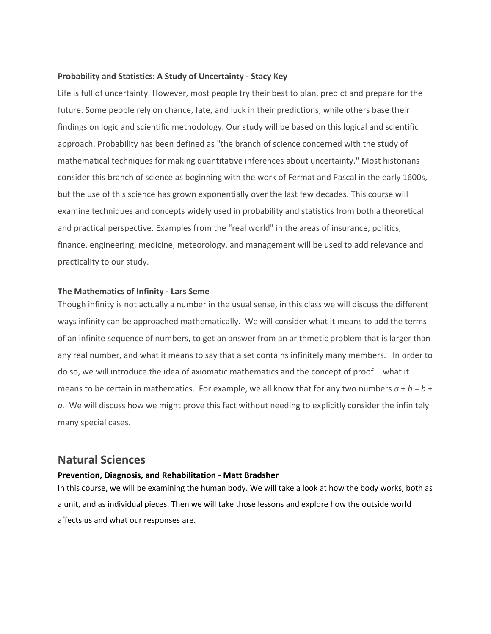#### **Probability and Statistics: A Study of Uncertainty - Stacy Key**

Life is full of uncertainty. However, most people try their best to plan, predict and prepare for the future. Some people rely on chance, fate, and luck in their predictions, while others base their findings on logic and scientific methodology. Our study will be based on this logical and scientific approach. Probability has been defined as "the branch of science concerned with the study of mathematical techniques for making quantitative inferences about uncertainty." Most historians consider this branch of science as beginning with the work of Fermat and Pascal in the early 1600s, but the use of this science has grown exponentially over the last few decades. This course will examine techniques and concepts widely used in probability and statistics from both a theoretical and practical perspective. Examples from the "real world" in the areas of insurance, politics, finance, engineering, medicine, meteorology, and management will be used to add relevance and practicality to our study.

#### **The Mathematics of Infinity - Lars Seme**

Though infinity is not actually a number in the usual sense, in this class we will discuss the different ways infinity can be approached mathematically. We will consider what it means to add the terms of an infinite sequence of numbers, to get an answer from an arithmetic problem that is larger than any real number, and what it means to say that a set contains infinitely many members. In order to do so, we will introduce the idea of axiomatic mathematics and the concept of proof – what it means to be certain in mathematics. For example, we all know that for any two numbers  $a + b = b +$ *a.* We will discuss how we might prove this fact without needing to explicitly consider the infinitely many special cases.

# **Natural Sciences**

#### **Prevention, Diagnosis, and Rehabilitation - Matt Bradsher**

In this course, we will be examining the human body. We will take a look at how the body works, both as a unit, and as individual pieces. Then we will take those lessons and explore how the outside world affects us and what our responses are.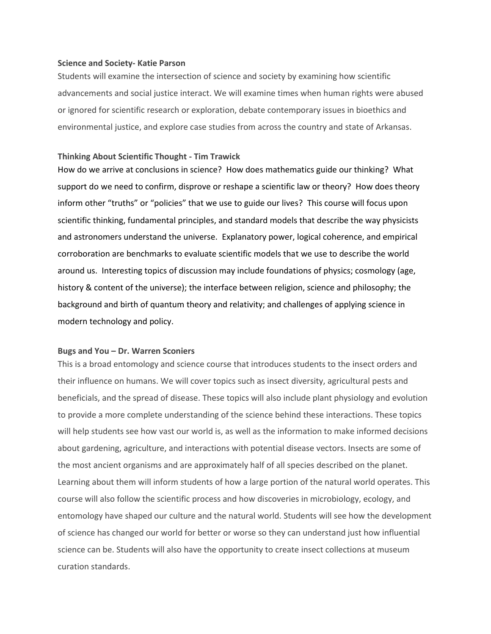#### **Science and Society- Katie Parson**

Students will examine the intersection of science and society by examining how scientific advancements and social justice interact. We will examine times when human rights were abused or ignored for scientific research or exploration, debate contemporary issues in bioethics and environmental justice, and explore case studies from across the country and state of Arkansas.

#### **Thinking About Scientific Thought - Tim Trawick**

How do we arrive at conclusions in science? How does mathematics guide our thinking? What support do we need to confirm, disprove or reshape a scientific law or theory? How does theory inform other "truths" or "policies" that we use to guide our lives? This course will focus upon scientific thinking, fundamental principles, and standard models that describe the way physicists and astronomers understand the universe. Explanatory power, logical coherence, and empirical corroboration are benchmarks to evaluate scientific models that we use to describe the world around us. Interesting topics of discussion may include foundations of physics; cosmology (age, history & content of the universe); the interface between religion, science and philosophy; the background and birth of quantum theory and relativity; and challenges of applying science in modern technology and policy.

#### **Bugs and You – Dr. Warren Sconiers**

This is a broad entomology and science course that introduces students to the insect orders and their influence on humans. We will cover topics such as insect diversity, agricultural pests and beneficials, and the spread of disease. These topics will also include plant physiology and evolution to provide a more complete understanding of the science behind these interactions. These topics will help students see how vast our world is, as well as the information to make informed decisions about gardening, agriculture, and interactions with potential disease vectors. Insects are some of the most ancient organisms and are approximately half of all species described on the planet. Learning about them will inform students of how a large portion of the natural world operates. This course will also follow the scientific process and how discoveries in microbiology, ecology, and entomology have shaped our culture and the natural world. Students will see how the development of science has changed our world for better or worse so they can understand just how influential science can be. Students will also have the opportunity to create insect collections at museum curation standards.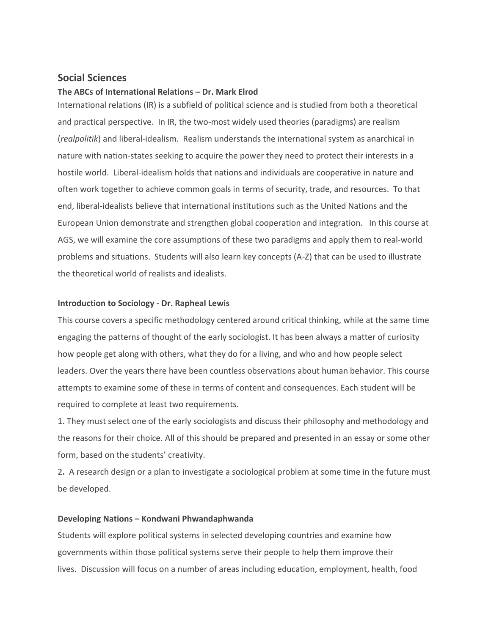#### **Social Sciences**

#### **The ABCs of International Relations – Dr. Mark Elrod**

International relations (IR) is a subfield of political science and is studied from both a theoretical and practical perspective. In IR, the two-most widely used theories (paradigms) are realism (*realpolitik*) and liberal-idealism. Realism understands the international system as anarchical in nature with nation-states seeking to acquire the power they need to protect their interests in a hostile world. Liberal-idealism holds that nations and individuals are cooperative in nature and often work together to achieve common goals in terms of security, trade, and resources. To that end, liberal-idealists believe that international institutions such as the United Nations and the European Union demonstrate and strengthen global cooperation and integration. In this course at AGS, we will examine the core assumptions of these two paradigms and apply them to real-world problems and situations. Students will also learn key concepts (A-Z) that can be used to illustrate the theoretical world of realists and idealists.

#### **Introduction to Sociology - Dr. Rapheal Lewis**

This course covers a specific methodology centered around critical thinking, while at the same time engaging the patterns of thought of the early sociologist. It has been always a matter of curiosity how people get along with others, what they do for a living, and who and how people select leaders. Over the years there have been countless observations about human behavior. This course attempts to examine some of these in terms of content and consequences. Each student will be required to complete at least two requirements.

1. They must select one of the early sociologists and discuss their philosophy and methodology and the reasons for their choice. All of this should be prepared and presented in an essay or some other form, based on the students' creativity.

2**.** A research design or a plan to investigate a sociological problem at some time in the future must be developed.

#### **Developing Nations – Kondwani Phwandaphwanda**

Students will explore political systems in selected developing countries and examine how governments within those political systems serve their people to help them improve their lives. Discussion will focus on a number of areas including education, employment, health, food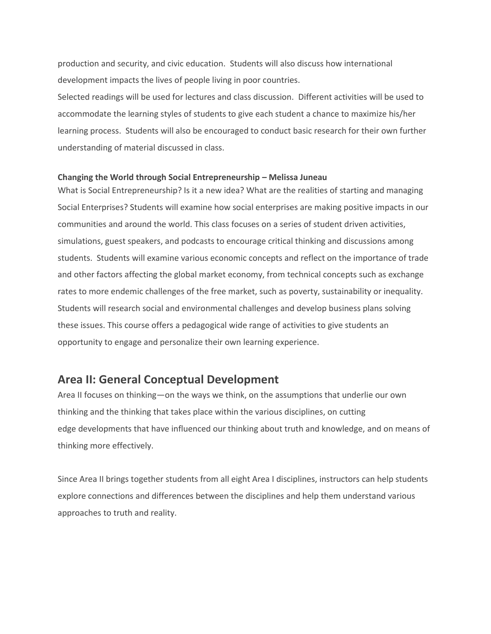production and security, and civic education. Students will also discuss how international development impacts the lives of people living in poor countries.

Selected readings will be used for lectures and class discussion. Different activities will be used to accommodate the learning styles of students to give each student a chance to maximize his/her learning process. Students will also be encouraged to conduct basic research for their own further understanding of material discussed in class.

#### **Changing the World through Social Entrepreneurship – Melissa Juneau**

What is Social Entrepreneurship? Is it a new idea? What are the realities of starting and managing Social Enterprises? Students will examine how social enterprises are making positive impacts in our communities and around the world. This class focuses on a series of student driven activities, simulations, guest speakers, and podcasts to encourage critical thinking and discussions among students. Students will examine various economic concepts and reflect on the importance of trade and other factors affecting the global market economy, from technical concepts such as exchange rates to more endemic challenges of the free market, such as poverty, sustainability or inequality. Students will research social and environmental challenges and develop business plans solving these issues. This course offers a pedagogical wide range of activities to give students an opportunity to engage and personalize their own learning experience.

# **Area II: General Conceptual Development**

Area II focuses on thinking—on the ways we think, on the assumptions that underlie our own thinking and the thinking that takes place within the various disciplines, on cutting edge developments that have influenced our thinking about truth and knowledge, and on means of thinking more effectively.

Since Area II brings together students from all eight Area I disciplines, instructors can help students explore connections and differences between the disciplines and help them understand various approaches to truth and reality.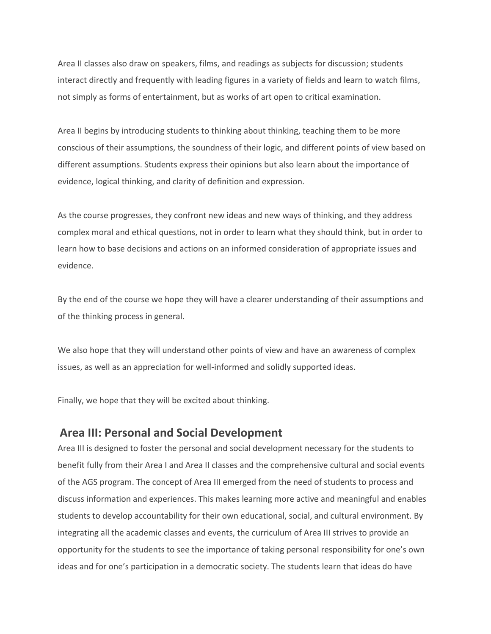Area II classes also draw on speakers, films, and readings as subjects for discussion; students interact directly and frequently with leading figures in a variety of fields and learn to watch films, not simply as forms of entertainment, but as works of art open to critical examination.

Area II begins by introducing students to thinking about thinking, teaching them to be more conscious of their assumptions, the soundness of their logic, and different points of view based on different assumptions. Students express their opinions but also learn about the importance of evidence, logical thinking, and clarity of definition and expression.

As the course progresses, they confront new ideas and new ways of thinking, and they address complex moral and ethical questions, not in order to learn what they should think, but in order to learn how to base decisions and actions on an informed consideration of appropriate issues and evidence.

By the end of the course we hope they will have a clearer understanding of their assumptions and of the thinking process in general.

We also hope that they will understand other points of view and have an awareness of complex issues, as well as an appreciation for well-informed and solidly supported ideas.

Finally, we hope that they will be excited about thinking.

# **Area III: Personal and Social Development**

Area III is designed to foster the personal and social development necessary for the students to benefit fully from their Area I and Area II classes and the comprehensive cultural and social events of the AGS program. The concept of Area III emerged from the need of students to process and discuss information and experiences. This makes learning more active and meaningful and enables students to develop accountability for their own educational, social, and cultural environment. By integrating all the academic classes and events, the curriculum of Area III strives to provide an opportunity for the students to see the importance of taking personal responsibility for one's own ideas and for one's participation in a democratic society. The students learn that ideas do have